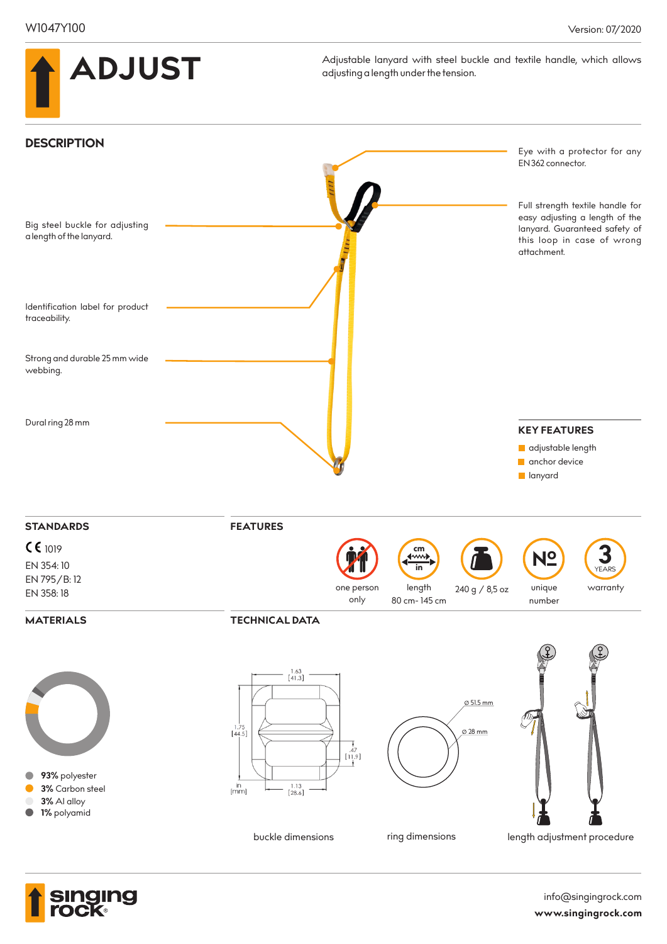